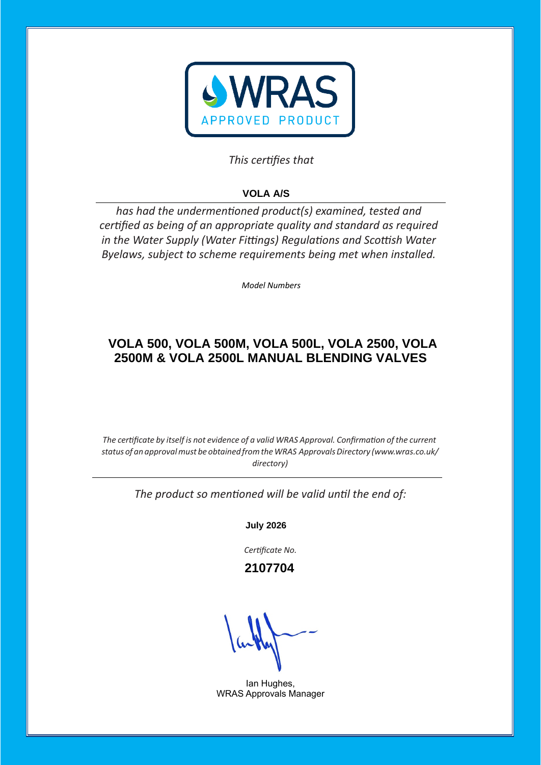

## This certifies that

# **VOLA A/S**

has had the undermentioned product(s) examined, tested and certified as being of an appropriate quality and standard as required *in the Water Supply (Water Fittings) Regulations and Scottish Water Byelaws, subject to scheme requirements being met when installed.* 

*Model Numbers* 

## **VOLA 500, VOLA 500M, VOLA 500L, VOLA 2500, VOLA 2500M & VOLA 2500L MANUAL BLENDING VALVES**

*The certificate by itself is not evidence of a valid WRAS Approval. Confirmation of the current status of an approvalmust be obtained fromtheWRAS ApprovalsDirectory [\(www.wras.co.uk/](http://www.wras.co.uk/directory)) [directory\)](http://www.wras.co.uk/directory))*

The product so mentioned will be valid until the end of:

**July 2026**

Certificate No.

 **2107704**

Ian Hughes, WRAS Approvals Manager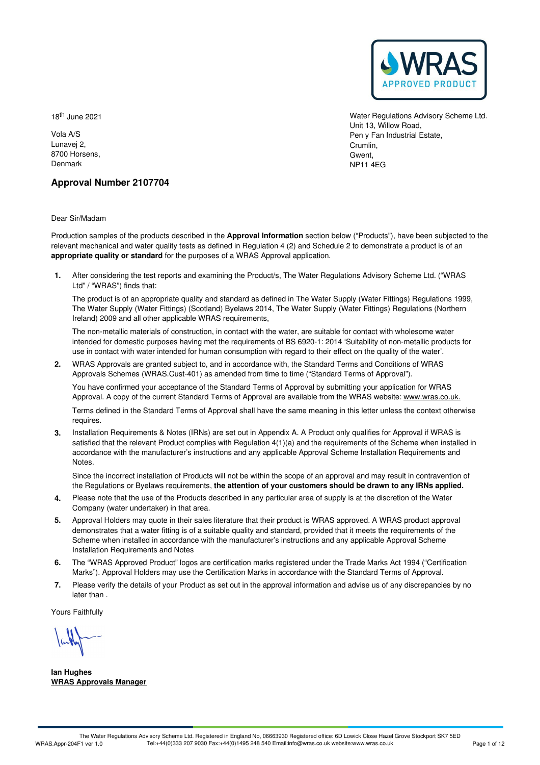

18 th June 2021

Vola A/S Lunavej 2, 8700 Horsens, Denmark

Water Regulations Advisory Scheme Ltd. Unit 13, Willow Road, Pen y Fan Industrial Estate, Crumlin, Gwent, NP11 4EG

### **Approval Number 2107704**

Dear Sir/Madam

Production samples of the products described in the **Approval Information** section below ("Products"), have been subjected to the relevant mechanical and water quality tests as defined in Regulation 4 (2) and Schedule 2 to demonstrate a product is of an **appropriate quality or standard** for the purposes of a WRAS Approval application.

After considering the test reports and examining the Product/s, The Water Regulations Advisory Scheme Ltd. ("WRAS **1.** Ltd" / "WRAS") finds that:

The product is of an appropriate quality and standard as defined in The Water Supply (Water Fittings) Regulations 1999, The Water Supply (Water Fittings) (Scotland) Byelaws 2014, The Water Supply (Water Fittings) Regulations (Northern Ireland) 2009 and all other applicable WRAS requirements,

The non-metallic materials of construction, in contact with the water, are suitable for contact with wholesome water intended for domestic purposes having met the requirements of BS 6920-1:2014 'Suitability of non-metallic products for use in contact with water intended for human consumption with regard to their effect on the quality of the water'.

WRAS Approvals are granted subject to, and in accordance with, the Standard Terms and Conditions of WRAS **2.** Approvals Schemes (WRAS.Cust-401) as amended from time to time ("Standard Terms of Approval").

You have confirmed your acceptance of the Standard Terms of Approval by submitting your application for WRAS Approval. A copy of the current Standard Terms of Approval are available from the WRAS website: [www.wras.co.uk.](https://www.wras.co.uk)

Terms defined in the Standard Terms of Approval shall have the same meaning in this letter unless the context otherwise requires.

**3.** Installation Requirements & Notes (IRNs) are set out in Appendix A. A Product only qualifies for Approval if WRAS is satisfied that the relevant Product complies with Regulation 4(1)(a) and the requirements of the Scheme when installed in accordance with the manufacturer's instructions and any applicable Approval Scheme Installation Requirements and Notes.

Since the incorrect installation of Products will not be within the scope of an approval and may result in contravention of the Regulations or Byelaws requirements, **the attention of your customers should be drawn to any IRNs applied.**

- Please note that the use of the Products described in any particular area of supply is at the discretion of the Water **4.** Please note that the use of the Products of Company (water undertaker) in that area.
- 5. Approval Holders may quote in their sales literature that their product is WRAS approved. A WRAS product approval demonstrates that a water fitting is of a suitable quality and standard, provided that it meets the requirements of the Scheme when installed in accordance with the manufacturer's instructions and any applicable Approval Scheme Installation Requirements and Notes
- The "WRAS Approved Product" logos are certification marks registered under the Trade Marks Act 1994 ("Certification 6. The "WRAS Approved Product" logos are certification marks registered under the Trade Marks Act 1994 ("Certif<br>Marks"). Approval Holders may use the Certification Marks in accordance with the Standard Terms of Approval.
- Please verify the details of your Product as set out in the approval information and advise us of any discrepancies by no later than . **7.**

Yours Faithfully

**Ian Hughes WRAS Approvals Manager**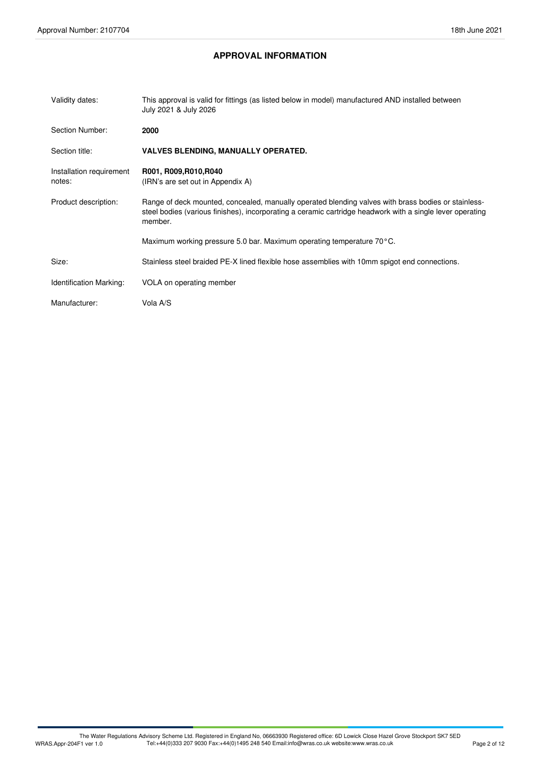## **APPROVAL INFORMATION**

| Validity dates:                    | This approval is valid for fittings (as listed below in model) manufactured AND installed between<br>July 2021 & July 2026                                                                                                  |
|------------------------------------|-----------------------------------------------------------------------------------------------------------------------------------------------------------------------------------------------------------------------------|
| Section Number:                    | 2000                                                                                                                                                                                                                        |
| Section title:                     | <b>VALVES BLENDING, MANUALLY OPERATED.</b>                                                                                                                                                                                  |
| Installation requirement<br>notes: | R001, R009, R010, R040<br>(IRN's are set out in Appendix A)                                                                                                                                                                 |
| Product description:               | Range of deck mounted, concealed, manually operated blending valves with brass bodies or stainless-<br>steel bodies (various finishes), incorporating a ceramic cartridge headwork with a single lever operating<br>member. |
|                                    | Maximum working pressure 5.0 bar. Maximum operating temperature 70°C.                                                                                                                                                       |
| Size:                              | Stainless steel braided PE-X lined flexible hose assemblies with 10mm spigot end connections.                                                                                                                               |
| <b>Identification Marking:</b>     | VOLA on operating member                                                                                                                                                                                                    |
| Manufacturer:                      | Vola A/S                                                                                                                                                                                                                    |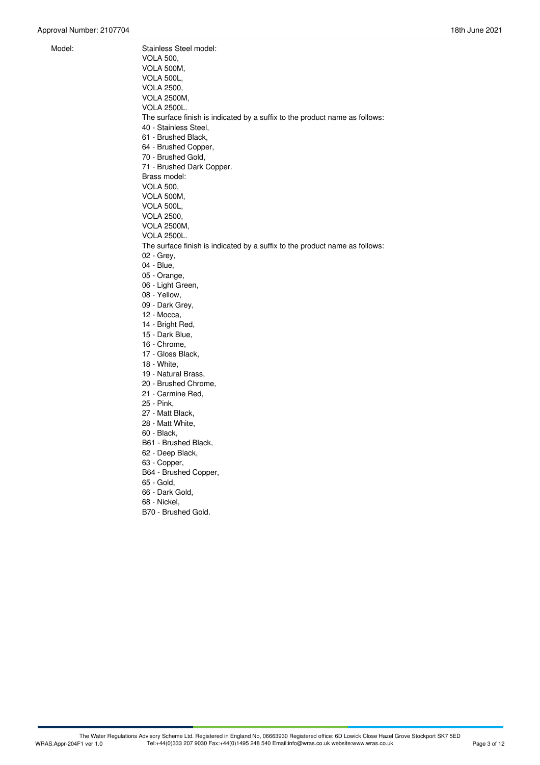Model: Stainless Steel model: VOLA 500, VOLA 500M, VOLA 500L, VOLA 2500, VOLA 2500M, VOLA 2500L. The surface finish is indicated by a suffix to the product name as follows: 40 - Stainless Steel, 61 - Brushed Black, 64 - Brushed Copper, 70 - Brushed Gold,<br>71 - Brushed Dark Copper. Brass model: VOLA 500, VOLA 500M, VOLA 500L, VOLA 2500, VOLA 2500M, VOLA 2500L. The surface finish is indicated by a suffix to the product name as follows: 02 - Grey, 04 - Blue, 05 - Orange, 06 - Light Green, 08 - Yellow, 09 - Dark Grey, 12 - Mocca, 14 - Bright Red, 15 - Dark Blue, 16 - Chrome, 17 - Gloss Black, 18 - White, 19 - Natural Brass, 20 - Brushed Chrome, 21 - Carmine Red, 25 - Pink, 27 - Matt Black, 28 - Matt White, 60 - Black, B61 - Brushed Black, 62 - Deep Black, 63 - Copper, B64 - Brushed Copper, 65 - Gold, 66 - Dark Gold, 68 - Nickel,

B70 - Brushed Gold.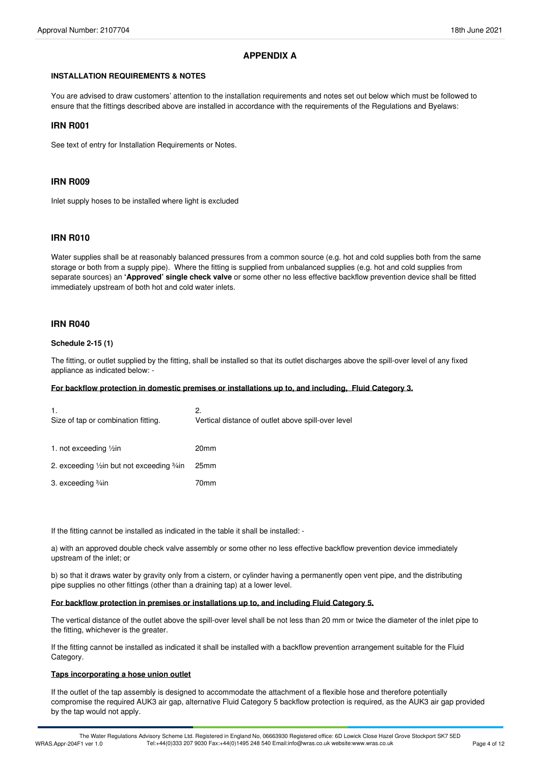### **APPENDIX A**

#### **INSTALLATION REQUIREMENTS & NOTES**

You are advised to draw customers' attention to the installation requirements and notes set out below which must be followed to ensure that the fittings described above are installed in accordance with the requirements of the Regulations and Byelaws:

#### **IRN R001**

See text of entry for Installation Requirements or Notes.

#### **IRN R009**

Inlet supply hoses to be installed where light is excluded

#### **IRN R010**

Water supplies shall be at reasonably balanced pressures from a common source (e.g. hot and cold supplies both from the same storage or both from a supply pipe). Where the fitting is supplied from unbalanced supplies (e.g. hot and cold supplies from separate sources) an **'Approved' single check valve** or some other no less effective backflow prevention device shall be fitted immediately upstream of both hot and cold water inlets.

#### **IRN R040**

#### **Schedule 2-15 (1)**

The fitting, or outlet supplied by the fitting, shall be installed so that its outlet discharges above the spill-over level of any fixed appliance as indicated below: -

#### **For backflow protection in domestic premises or installations up to, and including, Fluid Category 3.**

| 1.<br>Size of tap or combination fitting.    | 2.<br>Vertical distance of outlet above spill-over level |
|----------------------------------------------|----------------------------------------------------------|
| 1. not exceeding $\frac{1}{2}$ in            | 20 <sub>mm</sub>                                         |
| 2. exceeding 1/2 in but not exceeding 3/4 in | 25 <sub>mm</sub>                                         |
| 3. exceeding <sup>3</sup> / <sub>4</sub> in  | 70mm                                                     |

If the fitting cannot be installed as indicated in the table it shall be installed: -

a) with an approved double check valve assembly or some other no less effective backflow prevention device immediately upstream of the inlet; or

b) so that it draws water by gravity only from a cistern, or cylinder having a permanently open vent pipe, and the distributing pipe supplies no other fittings (other than a draining tap) at a lower level.

#### **For backflow protection in premises or installations up to, and including Fluid Category 5.**

The vertical distance of the outlet above the spill-over level shall be not less than 20 mm or twice the diameter of the inlet pipe to the fitting, whichever is the greater.

If the fitting cannot be installed as indicated it shall be installed with a backflow prevention arrangement suitable for the Fluid Category.

#### **Taps incorporating a hose union outlet**

If the outlet of the tap assembly is designed to accommodate the attachment of a flexible hose and therefore potentially compromise the required AUK3 air gap, alternative Fluid Category 5 backflow protection is required, as the AUK3 air gap provided by the tap would not apply.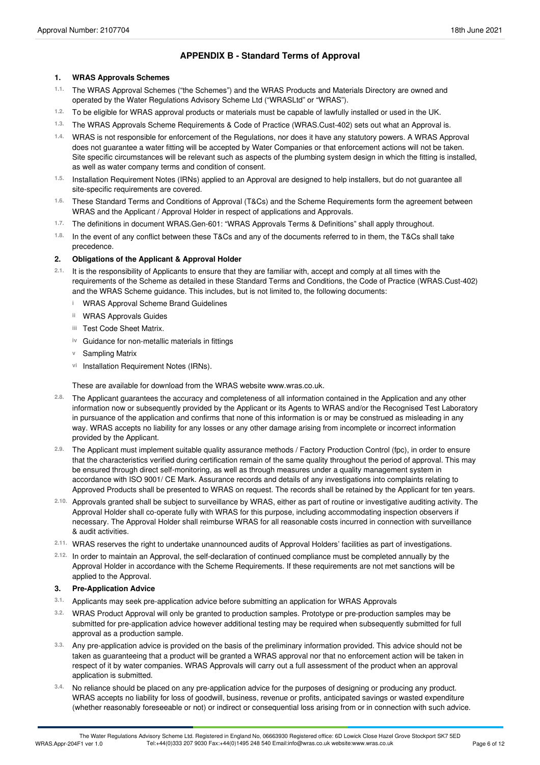## **APPENDIX B - Standard Terms of Approval**

#### **1. WRAS Approvals Schemes**

- The WRAS Approval Schemes ("the Schemes") and the WRAS Products and Materials Directory are owned and operated by the Water Regulations Advisory Scheme Ltd ("WRASLtd" or "WRAS"). **1.1.**
- 1.2. To be eligible for WRAS approval products or materials must be capable of lawfully installed or used in the UK.
- The WRAS Approvals Scheme Requirements & Code of Practice (WRAS.Cust-402) sets out what an Approval is. **1.3.**
- WRAS is not responsible for enforcement of the Regulations, nor does it have any statutory powers. A WRAS Approval **1.4.** does not guarantee a water fitting will be accepted by Water Companies or that enforcement actions will not be taken. Site specific circumstances will be relevant such as aspects of the plumbing system design in which the fitting is installed, as well as water company terms and condition of consent.
- <sup>1.5.</sup> Installation Requirement Notes (IRNs) applied to an Approval are designed to help installers, but do not guarantee all<br>site-specific requirements are covered.
- These Standard Terms and Conditions of Approval (T&Cs) and the Scheme Requirements form the agreement between WRAS and the Applicant / Approval Holder in respect of applications and Approvals. **1.6.**
- The definitions in document WRAS.Gen-601: "WRAS Approvals Terms & Definitions" shall apply throughout. **1.7.**
- In the event of any conflict between these T&Cs and any of the documents referred to in them, the T&Cs shall take precedence. **1.8.**

#### **2. Obligations of the Applicant & Approval Holder**

- 2.1. It is the responsibility of Applicants to ensure that they are familiar with, accept and comply at all times with the requirements of the Scheme as detailed in these Standard Terms and Conditions, the Code of Practice (WRAS.Cust-402) and the WRAS Scheme guidance. This includes, but is not limited to, the following documents:
	- **i** WRAS Approval Scheme Brand Guidelines
	- **ii** WRAS Approvals Guides
	- Test Code Sheet Matrix. **iii**
	- **iv** Guidance for non-metallic materials in fittings
	- **v** Sampling Matrix
	- vi Installation Requirement Notes (IRNs).

These are available for download from the WRAS website www.wras.co.uk.

- The Applicant guarantees the accuracy and completeness of all information contained in the Application and any other information now or subsequently provided by the Applicant or its Agents to WRAS and/or the Recognised Test Laboratory in pursuance of the application and confirms that none of this information is or may be construed as misleading in any way. WRAS accepts no liability for any losses or any other damage arising from incomplete or incorrect information provided by the Applicant. **2.8.**
- The Applicant must implement suitable quality assurance methods / Factory Production Control (fpc), in order to ensure **2.9.** that the characteristics verified during certification remain of the same quality throughout the period of approval. This may be ensured through direct self-monitoring, as well as through measures under a quality management system in accordance with ISO 9001/ CE Mark. Assurance records and details of any investigations into complaints relating to Approved Products shall be presented to WRAS on request. The records shall be retained by the Applicant for ten years.
- Approvals granted shall be subject to surveillance by WRAS, either as partof routine or investigative auditing activity. The **2.10.** Approval Holder shall co-operate fully with WRAS for this purpose, including accommodating inspection observers if necessary. The Approval Holder shall reimburse WRAS for all reasonable costs incurred in connection with surveillance & audit activities.
- WRAS reserves the right to undertake unannounced audits of Approval Holders' facilities as part of investigations. **2.11.**
- In order to maintain an Approval, the self-declaration of continued compliance must be completed annually by the **2.12.** Approval Holder in accordance with the Scheme Requirements. If these requirements are not met sanctions will be applied to the Approval.

#### **3. Pre-Application Advice**

- **3.1.** Applicants may seek pre-application advice before submitting an application for WRAS Approvals
- WRAS Product Approval will only be granted to production samples. Prototype or pre-production samples may be submitted for pre-application advice however additional testing may be required when subsequently submitted for full approval as a production sample. **3.2.**
- Any pre-application advice is provided on the basis of the preliminary information provided. This advice should not be taken as guaranteeing that a product will be granted a WRAS approval nor that no enforcement action will be taken in respect of it by water companies. WRAS Approvals will carry out a full assessment of the product when an approval application is submitted. **3.3.**
- No reliance should be placed on any pre-application advice for the purposes of designing or producing any product. WRAS accepts no liability for loss of goodwill, business, revenue or profits, anticipated savings or wasted expenditure (whether reasonably foreseeable or not) or indirect or consequential loss arising from or in connection with such advice. **3.4.**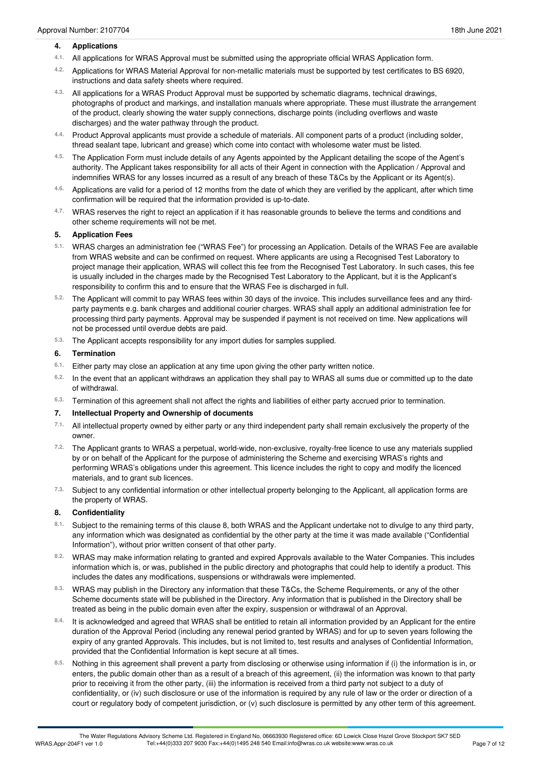#### **4. Applications**

- All applications for WRAS Approval must be submitted using the appropriate officialWRAS Application form. **4.1.**
- Applications for WRAS Material Approval for non-metallic materials must be supported by test certificates to BS 6920, instructions and data safety sheets where required. **4.2.**
- All applications for a WRAS Product Approval must be supported by schematic diagrams, technical drawings, photographs of product and markings, and installation manuals where appropriate. These must illustrate the arrangement of the product, clearly showing the water supply connections, discharge points (including overflows and waste discharges) and the water pathway through the product. **4.3.**
- Product Approval applicants must provide a schedule of materials. All component parts of a product (including solder, thread sealant tape, lubricant and grease) which come into contact with wholesome water must be listed. **4.4.**
- The Application Form must include details of any Agents appointed by the Applicant detailing the scope of the Agent's **4.5.** authority. The Applicant takes responsibility for all acts of their Agent in connection with the Application / Approval and indemnifies WRAS for any losses incurred as a result of any breach of these T&Cs by the Applicant or its Agent(s).
- Applications are valid for a period of 12 months from the date of which they are verified by the applicant, after which time 4.6. Applications are valid for a period of 12 months from the date of which t confirmation will be required that the information provided is up-to-date.
- WRAS reserves the right to reject an application if it has reasonable grounds to believe the terms and conditions and other scheme requirements will not be met. **4.7.**

#### **5. Application Fees**

- WRAS charges an administration fee ("WRAS Fee") for processing an Application. Details of the WRAS Fee are available **5.1.** from WRAS website and can be confirmed on request. Where applicants are using a Recognised Test Laboratory to project manage their application, WRAS will collect this fee from the Recognised Test Laboratory. In such cases, this fee is usually included in the charges made by the Recognised Test Laboratory to the Applicant, but it is the Applicant's responsibility to confirm this and to ensure that the WRAS Fee is discharged in full.
- The Applicant will commit to pay WRAS fees within 30 days of the invoice. This includes surveillance fees and any third- **5.2.** party payments e.g. bank charges and additional courier charges. WRAS shall apply an additional administration fee for processing third party payments. Approval may be suspended if payment is not received on time. New applications will not be processed until overdue debts are paid.
- The Applicant accepts responsibility for any import duties for samples supplied. **5.3.**

#### **6. Termination**

- Either party may close an application at any time upon giving the other party written notice. **6.1.**
- <sup>6.2.</sup> In the event that an applicant withdraws an application they shall pay to WRAS all sums due or committed up to the date<br>of withdrawal.
- Termination of this agreement shall not affect the rights and liabilities of either party accrued prior to termination. **6.3.**

#### **7. Intellectual Property and Ownership of documents**

- All intellectual property owned by either party or any third independent party shall remain exclusively the property of the owner. **7.1.**
- The Applicant grants to WRAS a perpetual, world-wide, non-exclusive, royalty-free licence to use any materials supplied **7.2.** by or on behalf of the Applicant for the purpose of administering the Scheme and exercising WRAS's rights and performing WRAS's obligations under this agreement. This licence includes the right to copy and modify the licenced materials, and to grant sub licences.
- <sup>7.3.</sup> Subject to any confidential information or other intellectual property belonging to the Applicant, all application forms are<br>the property of WRAS.

#### **8. Confidentiality**

- 8.1. Subject to the remaining terms of this clause 8, both WRAS and the Applicant undertake not to divulge to any third party, any information which was designated as confidential by the other party at the time it was made available ("Confidential Information"), without prior written consent of that other party.
- WRAS may make information relating to granted and expired Approvals available to the Water Companies. This includes information which is, or was, published in the public directory and photographs that could help to identify a product. This includes the dates any modifications, suspensions or withdrawals were implemented. **8.2.**
- WRAS may publish in the Directory any information that these T&Cs, the Scheme Requirements, or any of the other **8.3.** Scheme documents state will be published in the Directory. Any information that is published in the Directory shall be treated as being in the public domain even after the expiry, suspension or withdrawal of an Approval.
- It is acknowledged and agreed that WRAS shall be entitled to retain all information provided by an Applicant for the entire duration of the Approval Period (including any renewal period granted by WRAS) and for up to seven years following the expiry of any granted Approvals. This includes, but is not limited to, test results and analyses of Confidential Information, provided that the Confidential Information is kept secure at all times. **8.4.**
- Nothing in this agreement shall prevent a party from disclosing or otherwise using information if (i) the information is in, or enters, the public domain other than as a result of a breach of this agreement, (ii) the information was known to that party prior to receiving it from the other party, (iii) the information is received from a third party not subject to a duty of confidentiality, or (iv) such disclosure or use of the information is required by any rule of law or the order or direction of a court or regulatory body of competent jurisdiction, or (v) such disclosure is permitted by any other term of this agreement. **8.5.**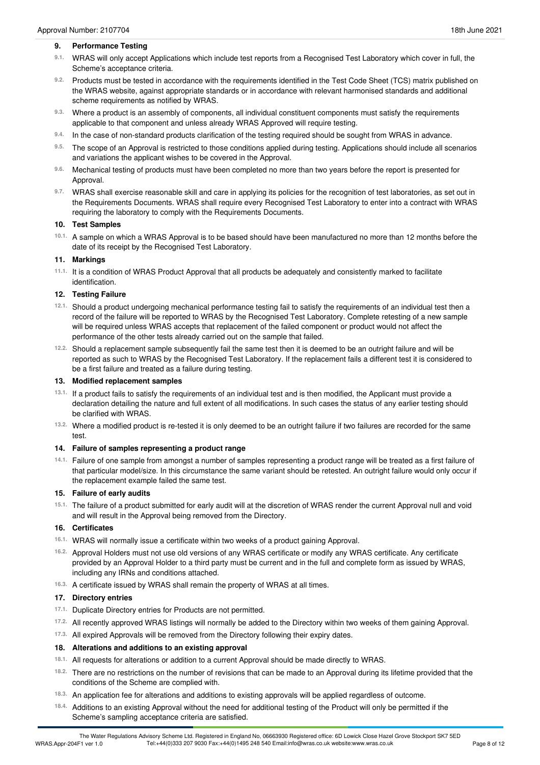#### **9. Performance Testing**

- <sup>9.1.</sup> WRAS will only accept Applications which include test reports from a Recognised Test Laboratory which cover in full, the<br>Scheme's acceptance criteria.
- 9.2. Products must be tested in accordance with the requirements identified in the Test Code Sheet (TCS) matrix published on the WRAS website, against appropriate standards or in accordance with relevant harmonised standards and additional scheme requirements as notified by WRAS.
- Where a product is an assembly of components, all individual constituent components must satisfy the requirements 9.3. Where a product is an assembly of components, all individual constituent components applicable to that component and unless already WRAS Approved will require testing.
- In the case of non-standard products clarification of the testing required should be sought from WRAS in advance. **9.4.**
- The scope of an Approval is restricted to those conditions applied during testing. Applications should include all scenarios 9.5. The scope of an Approval is restricted to those conditions applied and variations the applicant wishes to be covered in the Approval.
- Mechanical testing of products must have been completed no more than two years before the report is presented for Approval. **9.6.**
- WRAS shall exercise reasonable skill and care in applying its policies for the recognition of test laboratories, as set out in **9.7.** the Requirements Documents. WRAS shall require every Recognised Test Laboratory to enter into a contract with WRAS requiring the laboratory to comply with the Requirements Documents.

#### **10. Test Samples**

10.1. A sample on which a WRAS Approval is to be based should have been manufactured no more than 12 months before the date of its receipt by the Recognised Test Laboratory.

#### **11. Markings**

<sup>11.1.</sup> It is a condition of WRAS Product Approval that all products be adequately and consistently marked to facilitate<br>identification.

#### **12. Testing Failure**

- Should a product undergoing mechanical performance testing fail to satisfy the requirements of an individual test then a **12.1.** record of the failure will be reported to WRAS by the Recognised Test Laboratory. Complete retesting of a new sample will be required unless WRAS accepts that replacement of the failed component or product would not affect the performance of the other tests already carried out on the sample that failed.
- <sup>12.2.</sup> Should a replacement sample subsequently fail the same test then it is deemed to be an outright failure and will be reported as such to WRAS by the Recognised Test Laboratory. If the replacement fails a different test it is considered to be a first failure and treated as a failure during testing.

#### **13. Modified replacement samples**

- <sup>13.1.</sup> If a product fails to satisfy the requirements of an individual test and is then modified, the Applicant must provide a declaration detailing the nature and full extent of all modifications. In such cases the status of any earlier testing should be clarified with WRAS.
- Where a modified product is re-tested it is only deemed to be an outright failure if two failures are recorded for the same test. **13.2.**

#### **14. Failure of samples representing a product range**

Failure of one sample from amongst a number of samples representing a product range will be treated as a first failure of **14.1.** that particular model/size. In this circumstance the same variant should be retested. An outright failure would only occur if the replacement example failed the same test.

#### **15. Failure of early audits**

15.1. The failure of a product submitted for early audit will at the discretion of WRAS render the current Approval null and void and will result in the Approval being removed from the Directory.

#### **16. Certificates**

- WRAS will normally issue a certificate within two weeks of a product gaining Approval. **16.1.**
- <sup>16.2.</sup> Approval Holders must not use old versions of any WRAS certificate or modify any WRAS certificate. Any certificate provided by an Approval Holder to a third party must be current and in the full and complete form as issued by WRAS, including any IRNs and conditions attached.
- A certificate issued by WRAS shall remain the property of WRAS at all times. **16.3.**

#### **17. Directory entries**

- 17.1. Duplicate Directory entries for Products are not permitted.
- All recently approved WRAS listings will normally be added to the Directory within two weeks of them gaining Approval. **17.2.**
- <sup>17.3.</sup> All expired Approvals will be removed from the Directory following their expiry dates.

#### **18. Alterations and additions to an existing approval**

- 18.1. All requests for alterations or addition to a current Approval should be made directly to WRAS.
- There are no restrictions on the number of revisions that can be made to an Approval during its lifetime provided that the conditions of the Scheme are complied with. **18.2.**
- An application fee for alterations and additions to existing approvals will be applied regardless of outcome. **18.3.**
- Additions to an existing Approval without the need for additional testing of the Product will only be permitted if the Scheme's sampling acceptance criteria are satisfied. **18.4.**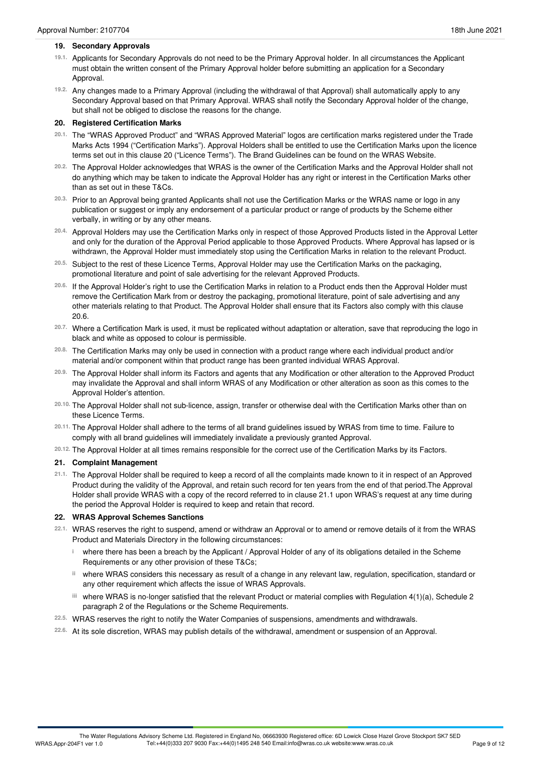- 19.1. Applicants for Secondary Approvals do not need to be the Primary Approval holder. In all circumstances the Applicant must obtain the written consent of the Primary Approval holder before submitting an application for a Secondary Approval.
- Any changes made to a Primary Approval (including the withdrawal of that Approval) shall automatically apply to any **19.2.** Secondary Approval based on that Primary Approval. WRAS shall notify the Secondary Approval holder of the change, but shall not be obliged to disclose the reasons for the change.

## **20. Registered Certification Marks**

- <sup>20.1.</sup> The "WRAS Approved Product" and "WRAS Approved Material" logos are certification marks registered under the Trade Marks Acts 1994 ("Certification Marks"). Approval Holders shall be entitled to use the Certification Marks upon the licence terms set out in this clause 20 ("Licence Terms"). The Brand Guidelines can be found on the WRAS Website.
- The Approval Holder acknowledges that WRAS is the owner of the Certification Marks and the Approval Holder shall not **20.2.** do anything which may be taken to indicate the Approval Holder has any right or interest in the Certification Marks other than as set out in these T&Cs.
- Prior to an Approval being granted Applicants shall not use the Certification Marks or the WRAS name or logo in any **20.3.** publication or suggest or imply any endorsement of a particular product or range of products by the Scheme either verbally, in writing or by any other means.
- <sup>20.4.</sup> Approval Holders may use the Certification Marks only in respect of those Approved Products listed in the Approval Letter and only for the duration of the Approval Period applicable to those Approved Products. Where Approval has lapsed or is withdrawn, the Approval Holder must immediately stop using the Certification Marks in relation to the relevant Product.
- Subject to the rest of these Licence Terms, Approval Holder may use the Certification Marks on the packaging, promotional literature and point of sale advertising for the relevant Approved Products. **20.5.**
- <sup>20.6.</sup> If the Approval Holder's right to use the Certification Marks in relation to a Product ends then the Approval Holder must remove the Certification Mark from or destroy the packaging, promotional literature, point of sale advertising and any other materials relating to that Product. The Approval Holder shall ensure that its Factors also comply with this clause 20.6.
- <sup>20.7.</sup> Where a Certification Mark is used, it must be replicated without adaptation or alteration, save that reproducing the logo in<br>black and white as opposed to colour is permissible.
- The Certification Marks may only be used in connection with a product range where each individual product and/or material and/or component within that product range has been granted individual WRAS Approval. **20.8.**
- The Approval Holder shall inform its Factors and agents that any Modification or other alteration to the Approved Product **20.9.** may invalidate the Approval and shall inform WRAS of any Modification or other alteration as soon as this comes to the Approval Holder's attention.
- The Approval Holder shall not sub-licence, assign, transfer or otherwise deal with the Certification Marks other than on these Licence Terms. **20.10.**
- <sup>20.11.</sup> The Approval Holder shall adhere to the terms of all brand guidelines issued by WRAS from time to time. Failure to<br>comply with all brand guidelines will immediately invalidate a previously granted Approval.
- The Approval Holder at all times remains responsible for the correct use of the Certification Marks by its Factors. **20.12.**

## **21. Complaint Management**

21.1. The Approval Holder shall be required to keep a record of all the complaints made known to it in respect of an Approved Product during the validity of the Approval, and retain such record for ten years from the end of that period.The Approval Holder shall provide WRAS with a copy of the record referred to in clause 21.1 upon WRAS's request at any time during the period the Approval Holder is required to keep and retain that record.

## **22. WRAS Approval Schemes Sanctions**

- WRAS reserves the right to suspend, amend or withdraw an Approval or to amend or remove details of it from the WRAS Product and Materials Directory in the following circumstances: **22.1.**
	- where there has been a breach by the Applicant / Approval Holder of any of its obligations detailed in the Scheme **i** Requirements or any other provision of these T&Cs;
	- where WRAS considers this necessary as result of a change in any relevant law, regulation, specification, standard or **ii** any other requirement which affects the issue of WRAS Approvals.
	- where WRAS is no-longer satisfied that the relevant Product or material complies with Regulation 4(1)(a), Schedule 2 **iii** paragraph 2 of the Regulations or the Scheme Requirements.
- WRAS reserves the right to notify the Water Companies of suspensions, amendments and withdrawals. **22.5.**
- At its sole discretion, WRAS may publish details of the withdrawal, amendment or suspension of an Approval. **22.6.**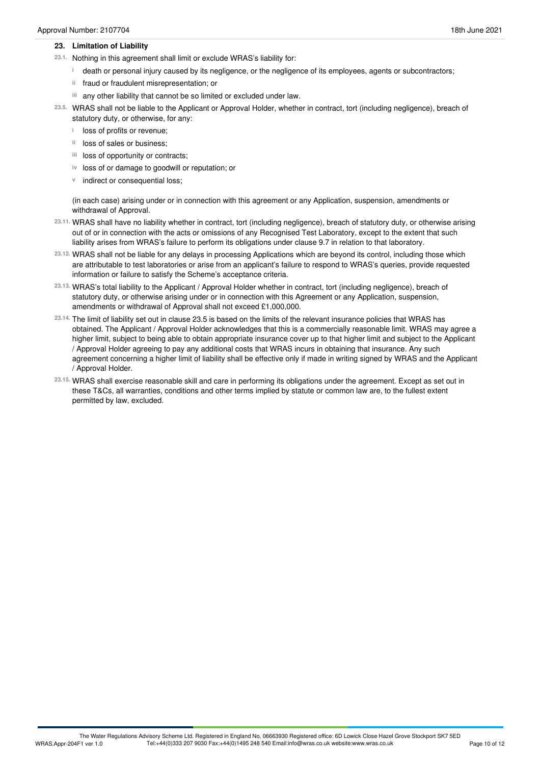- 23.1. Nothing in this agreement shall limit or exclude WRAS's liability for:
	- death or personal injury caused by its negligence, or the negligence of its employees, agents or subcontractors; **i**
	- ii fraud or fraudulent misrepresentation; or
	- any other liability that cannot be so limited or excluded under law. **iii**
- WRAS shall not be liable to the Applicant or Approval Holder, whether in contract, tort (including negligence), breach of **23.5.** statutory duty, or otherwise, for any:
	- **i** loss of profits or revenue;
	- <sup>ii</sup> loss of sales or business;
	- iii loss of opportunity or contracts;
	- iv loss of or damage to goodwill or reputation; or
	- **v** indirect or consequential loss;

(in each case) arising under or in connection with this agreement or any Application, suspension, amendments or withdrawal of Approval.

- WRAS shall have no liability whether in contract, tort (including negligence), breach of statutory duty, or otherwise arising **23.11.** out of or in connection with the acts or omissions of any Recognised Test Laboratory, except to the extent that such liability arises from WRAS's failure to perform its obligations under clause 9.7 in relation to that laboratory.
- WRAS shall not be liable for any delays in processing Applications which are beyond its control, including those which **23.12.** are attributable to test laboratories or arise from an applicant's failure to respond to WRAS's queries, provide requested information or failure to satisfy the Scheme's acceptance criteria.
- WRAS's total liability to the Applicant / Approval Holder whether in contract, tort (including negligence), breach of **23.13.** statutory duty, or otherwise arising under or in connection with this Agreement or any Application, suspension, amendments or withdrawal of Approval shall not exceed £1,000,000.
- The limit of liability set out in clause 23.5 is based on the limits of the relevant insurance policies that WRAS has **23.14.** obtained. The Applicant / Approval Holder acknowledges that this is a commercially reasonable limit. WRAS may agree a higher limit, subject to being able to obtain appropriate insurance cover up to that higher limit and subject to the Applicant / Approval Holder agreeing to pay any additional costs that WRAS incurs in obtaining that insurance. Any such agreement concerning a higher limit of liability shall be effective only if made in writing signed by WRAS and the Applicant / Approval Holder.
- WRAS shall exercise reasonable skill and care in performing its obligations under the agreement. Except as set out in **23.15.** these T&Cs, all warranties, conditions and other terms implied by statute or common law are, to the fullest extent permitted by law, excluded.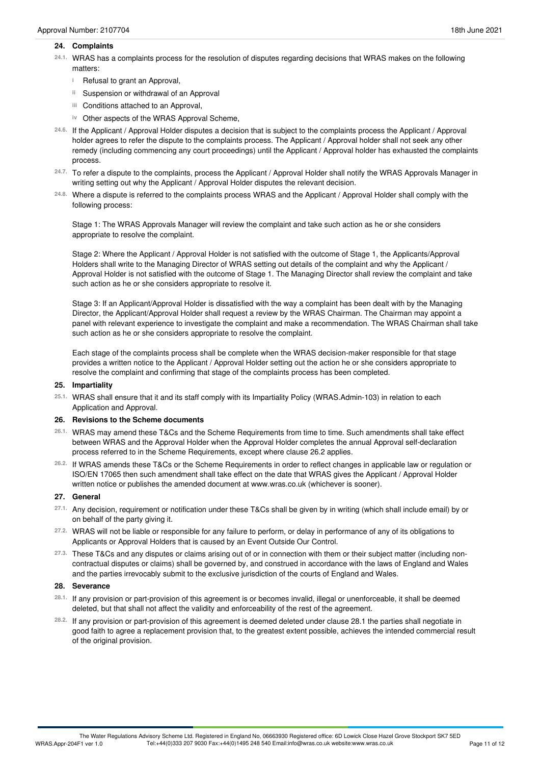#### **24. Complaints**

- WRAS has a complaints process for the resolution of disputes regarding decisions that WRAS makes on the following matters: **24.1.**
	- <sup>i</sup> Refusal to grant an Approval,
	- Suspension or withdrawal of an Approval **ii**
	- Conditions attached to an Approval, **iii**
	- iv Other aspects of the WRAS Approval Scheme,
- If the Applicant / Approval Holder disputes a decision that is subject to the complaints process the Applicant / Approval **24.6.** holder agrees to refer the dispute to the complaints process. The Applicant / Approval holder shall not seek any other remedy (including commencing any court proceedings) until the Applicant / Approval holder has exhausted the complaints process.
- To refer a dispute to the complaints, process the Applicant / Approval Holder shall notify the WRAS Approvals Manager in writing setting out why the Applicant / Approval Holder disputes the relevant decision. **24.7.**
- Where a dispute is referred to the complaints process WRAS and the Applicant / Approval Holder shall comply with the **24.8.** following process:

Stage 1: The WRAS Approvals Manager will review the complaint and take such action as he or she considers appropriate to resolve the complaint.

Stage 2: Where the Applicant / Approval Holder is not satisfied with the outcome of Stage 1, the Applicants/Approval Holders shall write to the Managing Director of WRAS setting out details of the complaint and why the Applicant / Approval Holder is not satisfied with the outcome of Stage 1. The Managing Director shall review the complaint and take such action as he or she considers appropriate to resolve it.

Stage 3: If an Applicant/Approval Holder is dissatisfied with the way a complaint has been dealt with by the Managing Director, the Applicant/Approval Holder shall request a review by the WRAS Chairman. The Chairman may appoint a panel with relevant experience to investigate the complaint and make a recommendation. The WRAS Chairman shall take such action as he or she considers appropriate to resolve the complaint.

Each stage of the complaints process shall be complete when the WRAS decision-maker responsible for that stage provides a written notice to the Applicant / Approval Holder setting out the action he or she considers appropriate to resolve the complaint and confirming that stage of the complaints process has been completed.

#### **25. Impartiality**

WRAS shall ensure that it and its staff comply with its Impartiality Policy (WRAS.Admin-103) in relation to each Application and Approval. **25.1.**

#### **26. Revisions to the Scheme documents**

- WRAS may amend these T&Cs and the Scheme Requirements from time to time. Such amendments shall take effect **26.1.** between WRAS and the Approval Holder when the Approval Holder completes the annual Approval self-declaration process referred to in the Scheme Requirements, except where clause 26.2 applies.
- If WRAS amends these T&Cs or the Scheme Requirements in order to reflect changes in applicable law or regulation or **26.2.** ISO/EN 17065 then such amendment shall take effect on the date that WRAS gives the Applicant / Approval Holder written notice or publishes the amended document at www.wras.co.uk (whichever is sooner).

#### **27. General**

- Any decision, requirement or notification under these T&Cs shall be given by in writing (which shall include email) by or on behalf of the party giving it. **27.1.**
- 27.2. WRAS will not be liable or responsible for any failure to perform, or delay in performance of any of its obligations to Applicants or Approval Holders that is caused by an Event Outside Our Control. **27.2.**
- These T&Cs and any disputes or claims arising out of or in connection with them or their subject matter (including non- **27.3.** contractual disputes or claims) shall be governed by, and construed in accordance with the laws of England and Wales and the parties irrevocably submit to the exclusive jurisdiction of the courts of England and Wales.

#### **28. Severance**

- <sup>28.1.</sup> If any provision or part-provision of this agreement is or becomes invalid, illegal or unenforceable, it shall be deemed<br>deleted, but that shall not affect the validity and enforceability of the rest of the agreeme
- If any provision or part-provision of this agreement is deemed deleted under clause 28.1 the parties shall negotiate in **28.2.** good faith to agree a replacement provision that, to the greatest extent possible, achieves the intended commercial result of the original provision.